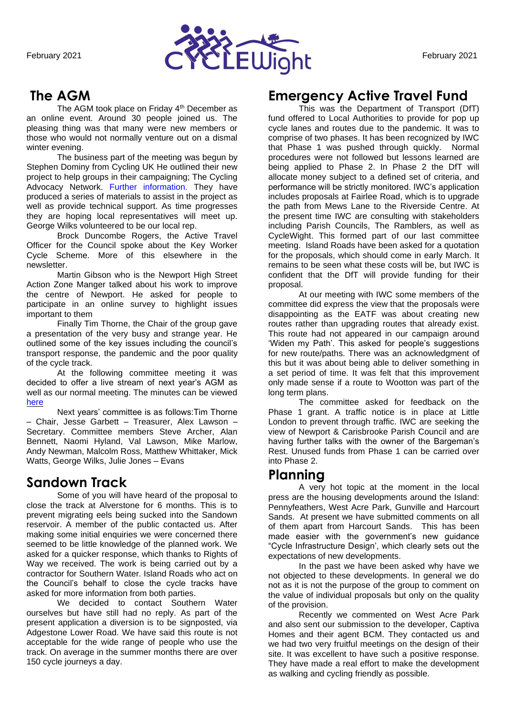

# **The AGM**

The AGM took place on Friday 4<sup>th</sup> December as an online event. Around 30 people joined us. The pleasing thing was that many were new members or those who would not normally venture out on a dismal winter evening.

The business part of the meeting was begun by Stephen Dominy from Cycling UK He outlined their new project to help groups in their campaigning; The Cycling Advocacy Network. [Further information.](https://www.cyclinguk.org/cycle-campaigning/cycle-advocacy-network) They have produced a series of materials to assist in the project as well as provide technical support. As time progresses they are hoping local representatives will meet up. George Wilks volunteered to be our local rep.

Brock Duncombe Rogers, the Active Travel Officer for the Council spoke about the Key Worker Cycle Scheme. More of this elsewhere in the newsletter.

Martin Gibson who is the Newport High Street Action Zone Manger talked about his work to improve the centre of Newport. He asked for people to participate in an online survey to highlight issues important to them

Finally Tim Thorne, the Chair of the group gave a presentation of the very busy and strange year. He outlined some of the key issues including the council's transport response, the pandemic and the poor quality of the cycle track.

At the following committee meeting it was decided to offer a live stream of next year's AGM as well as our normal meeting. The minutes can be viewed [here](http://www.cyclewight.org.uk/agm-2020.html)

Next years' committee is as follows:Tim Thorne – Chair, Jesse Garbett – Treasurer, Alex Lawson – Secretary. Committee members Steve Archer, Alan Bennett, Naomi Hyland, Val Lawson, Mike Marlow, Andy Newman, Malcolm Ross, Matthew Whittaker, Mick Watts, George Wilks, Julie Jones – Evans

### **Sandown Track**

Some of you will have heard of the proposal to close the track at Alverstone for 6 months. This is to prevent migrating eels being sucked into the Sandown reservoir. A member of the public contacted us. After making some initial enquiries we were concerned there seemed to be little knowledge of the planned work. We asked for a quicker response, which thanks to Rights of Way we received. The work is being carried out by a contractor for Southern Water. Island Roads who act on the Council's behalf to close the cycle tracks have asked for more information from both parties.

We decided to contact Southern Water ourselves but have still had no reply. As part of the present application a diversion is to be signposted, via Adgestone Lower Road. We have said this route is not acceptable for the wide range of people who use the track. On average in the summer months there are over 150 cycle journeys a day.

# **Emergency Active Travel Fund**

This was the Department of Transport (DfT) fund offered to Local Authorities to provide for pop up cycle lanes and routes due to the pandemic. It was to comprise of two phases. It has been recognized by IWC that Phase 1 was pushed through quickly. Normal procedures were not followed but lessons learned are being applied to Phase 2. In Phase 2 the DfT will allocate money subject to a defined set of criteria, and performance will be strictly monitored. IWC's application includes proposals at Fairlee Road, which is to upgrade the path from Mews Lane to the Riverside Centre. At the present time IWC are consulting with stakeholders including Parish Councils, The Ramblers, as well as CycleWight. This formed part of our last committee meeting. Island Roads have been asked for a quotation for the proposals, which should come in early March. It remains to be seen what these costs will be, but IWC is confident that the DfT will provide funding for their proposal.

At our meeting with IWC some members of the committee did express the view that the proposals were disappointing as the EATF was about creating new routes rather than upgrading routes that already exist. This route had not appeared in our campaign around 'Widen my Path'. This asked for people's suggestions for new route/paths. There was an acknowledgment of this but it was about being able to deliver something in a set period of time. It was felt that this improvement only made sense if a route to Wootton was part of the long term plans.

The committee asked for feedback on the Phase 1 grant. A traffic notice is in place at Little London to prevent through traffic. IWC are seeking the view of Newport & Carisbrooke Parish Council and are having further talks with the owner of the Bargeman's Rest. Unused funds from Phase 1 can be carried over into Phase 2.

### **Planning**

A very hot topic at the moment in the local press are the housing developments around the Island: Pennyfeathers, West Acre Park, Gunville and Harcourt Sands. At present we have submitted comments on all of them apart from Harcourt Sands. This has been made easier with the government's new guidance "Cycle Infrastructure Design', which clearly sets out the expectations of new developments.

In the past we have been asked why have we not objected to these developments. In general we do not as it is not the purpose of the group to comment on the value of individual proposals but only on the quality of the provision.

Recently we commented on West Acre Park and also sent our submission to the developer, Captiva Homes and their agent BCM. They contacted us and we had two very fruitful meetings on the design of their site. It was excellent to have such a positive response. They have made a real effort to make the development as walking and cycling friendly as possible.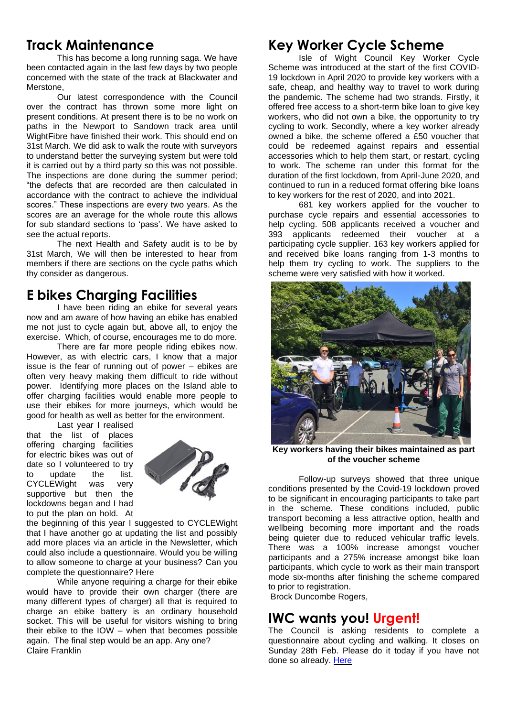### **Track Maintenance**

This has become a long running saga. We have been contacted again in the last few days by two people concerned with the state of the track at Blackwater and **Merstone** 

Our latest correspondence with the Council over the contract has thrown some more light on present conditions. At present there is to be no work on paths in the Newport to Sandown track area until WightFibre have finished their work. This should end on 31st March. We did ask to walk the route with surveyors to understand better the surveying system but were told it is carried out by a third party so this was not possible. The inspections are done during the summer period; "the defects that are recorded are then calculated in accordance with the contract to achieve the individual scores." These inspections are every two years. As the scores are an average for the whole route this allows for sub standard sections to 'pass'. We have asked to see the actual reports.

The next Health and Safety audit is to be by 31st March, We will then be interested to hear from members if there are sections on the cycle paths which thy consider as dangerous.

#### **E bikes Charging Facilities**

I have been riding an ebike for several years now and am aware of how having an ebike has enabled me not just to cycle again but, above all, to enjoy the exercise. Which, of course, encourages me to do more.

There are far more people riding ebikes now. However, as with electric cars, I know that a major issue is the fear of running out of power – ebikes are often very heavy making them difficult to ride without power. Identifying more places on the Island able to offer charging facilities would enable more people to use their ebikes for more journeys, which would be good for health as well as better for the environment.

Last year I realised that the list of places offering charging facilities for electric bikes was out of date so I volunteered to try to update the list. CYCLEWight was very supportive but then the lockdowns began and I had to put the plan on hold. At



the beginning of this year I suggested to CYCLEWight that I have another go at updating the list and possibly add more places via an article in the Newsletter, which could also include a questionnaire. Would you be willing to allow someone to charge at your business? Can you complete the questionnaire? Here

While anyone requiring a charge for their ebike would have to provide their own charger (there are many different types of charger) all that is required to charge an ebike battery is an ordinary household socket. This will be useful for visitors wishing to bring their ebike to the IOW – when that becomes possible again. The final step would be an app. Any one? Claire Franklin

### **Key Worker Cycle Scheme**

Isle of Wight Council Key Worker Cycle Scheme was introduced at the start of the first COVID-19 lockdown in April 2020 to provide key workers with a safe, cheap, and healthy way to travel to work during the pandemic. The scheme had two strands. Firstly, it offered free access to a short-term bike loan to give key workers, who did not own a bike, the opportunity to try cycling to work. Secondly, where a key worker already owned a bike, the scheme offered a £50 voucher that could be redeemed against repairs and essential accessories which to help them start, or restart, cycling to work. The scheme ran under this format for the duration of the first lockdown, from April-June 2020, and continued to run in a reduced format offering bike loans to key workers for the rest of 2020, and into 2021.

681 key workers applied for the voucher to purchase cycle repairs and essential accessories to help cycling. 508 applicants received a voucher and 393 applicants redeemed their voucher at a participating cycle supplier. 163 key workers applied for and received bike loans ranging from 1-3 months to help them try cycling to work. The suppliers to the scheme were very satisfied with how it worked.



**Key workers having their bikes maintained as part of the voucher scheme**

Follow-up surveys showed that three unique conditions presented by the Covid-19 lockdown proved to be significant in encouraging participants to take part in the scheme. These conditions included, public transport becoming a less attractive option, health and wellbeing becoming more important and the roads being quieter due to reduced vehicular traffic levels. There was a 100% increase amongst voucher participants and a 275% increase amongst bike loan participants, which cycle to work as their main transport mode six-months after finishing the scheme compared to prior to registration.

Brock Duncombe Rogers,

### **IWC wants you! Urgent!**

The Council is asking residents to complete a questionnaire about cycling and walking. It closes on Sunday 28th Feb. Please do it today if you have not done so already. [Here](https://www.surveymonkey.com/r/activetravelconsultationtest)